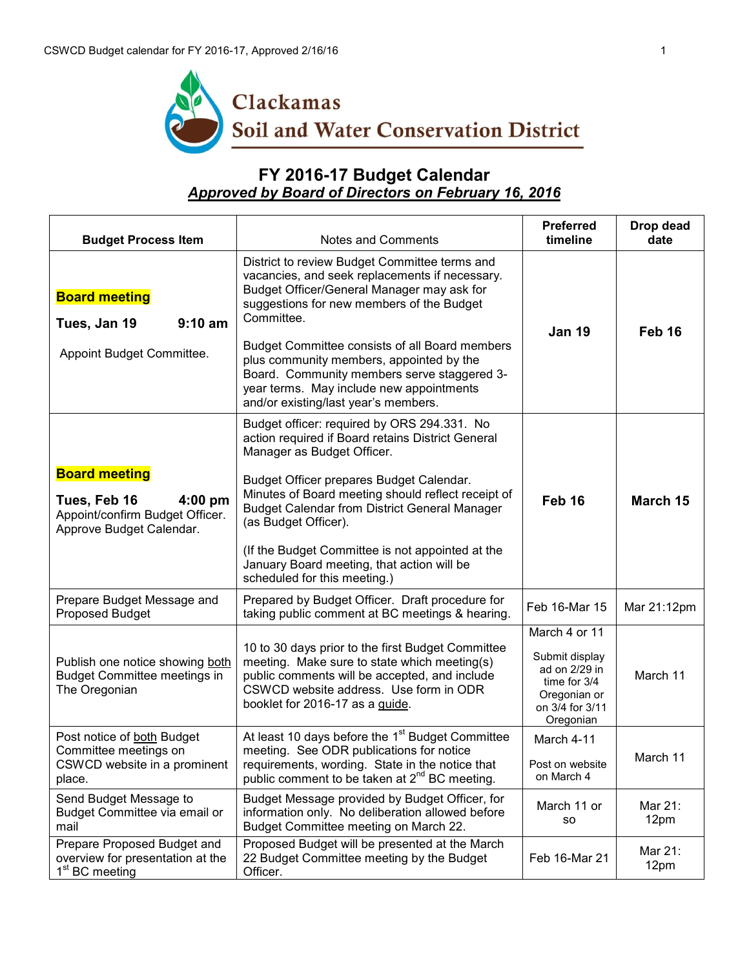

## **FY 2016-17 Budget Calendar**  *Approved by Board of Directors on February 16, 2016*

| <b>Budget Process Item</b>                                                                                       | Notes and Comments                                                                                                                                                                                                              | <b>Preferred</b><br>timeline                                                                                     | Drop dead<br>date |
|------------------------------------------------------------------------------------------------------------------|---------------------------------------------------------------------------------------------------------------------------------------------------------------------------------------------------------------------------------|------------------------------------------------------------------------------------------------------------------|-------------------|
| <b>Board meeting</b><br>Tues, Jan 19<br>$9:10$ am                                                                | District to review Budget Committee terms and<br>vacancies, and seek replacements if necessary.<br>Budget Officer/General Manager may ask for<br>suggestions for new members of the Budget<br>Committee.                        | <b>Jan 19</b>                                                                                                    | Feb 16            |
| Appoint Budget Committee.                                                                                        | Budget Committee consists of all Board members<br>plus community members, appointed by the<br>Board. Community members serve staggered 3-<br>year terms. May include new appointments<br>and/or existing/last year's members.   |                                                                                                                  |                   |
|                                                                                                                  | Budget officer: required by ORS 294.331. No<br>action required if Board retains District General<br>Manager as Budget Officer.                                                                                                  |                                                                                                                  |                   |
| <b>Board meeting</b><br>Tues, Feb 16<br>$4:00$ pm<br>Appoint/confirm Budget Officer.<br>Approve Budget Calendar. | Budget Officer prepares Budget Calendar.<br>Minutes of Board meeting should reflect receipt of<br>Budget Calendar from District General Manager<br>(as Budget Officer).                                                         | Feb 16                                                                                                           | March 15          |
|                                                                                                                  | (If the Budget Committee is not appointed at the<br>January Board meeting, that action will be<br>scheduled for this meeting.)                                                                                                  |                                                                                                                  |                   |
| Prepare Budget Message and<br>Proposed Budget                                                                    | Prepared by Budget Officer. Draft procedure for<br>taking public comment at BC meetings & hearing.                                                                                                                              | Feb 16-Mar 15                                                                                                    | Mar 21:12pm       |
| Publish one notice showing both<br><b>Budget Committee meetings in</b><br>The Oregonian                          | 10 to 30 days prior to the first Budget Committee<br>meeting. Make sure to state which meeting(s)<br>public comments will be accepted, and include<br>CSWCD website address. Use form in ODR<br>booklet for 2016-17 as a guide. | March 4 or 11<br>Submit display<br>ad on 2/29 in<br>time for 3/4<br>Oregonian or<br>on 3/4 for 3/11<br>Oregonian | March 11          |
| Post notice of both Budget<br>Committee meetings on<br>CSWCD website in a prominent<br>place.                    | At least 10 days before the 1 <sup>st</sup> Budget Committee<br>meeting. See ODR publications for notice<br>requirements, wording. State in the notice that<br>public comment to be taken at 2 <sup>nd</sup> BC meeting.        | March 4-11<br>Post on website<br>on March 4                                                                      | March 11          |
| Send Budget Message to<br>Budget Committee via email or<br>mail                                                  | Budget Message provided by Budget Officer, for<br>information only. No deliberation allowed before<br>Budget Committee meeting on March 22.                                                                                     | March 11 or<br>SO.                                                                                               | Mar 21:<br>12pm   |
| Prepare Proposed Budget and<br>overview for presentation at the<br>1 <sup>st</sup> BC meeting                    | Proposed Budget will be presented at the March<br>22 Budget Committee meeting by the Budget<br>Officer.                                                                                                                         | Feb 16-Mar 21                                                                                                    | Mar 21:<br>12pm   |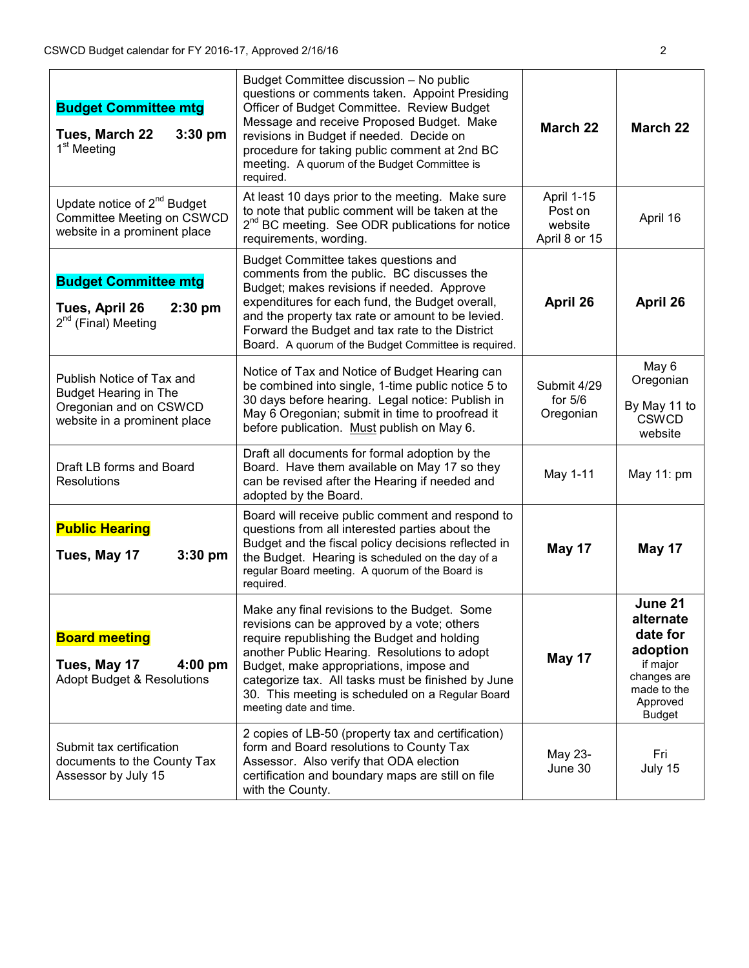| <b>Budget Committee mtg</b><br>Tues, March 22<br>$3:30$ pm<br>1 <sup>st</sup> Meeting                               | Budget Committee discussion - No public<br>questions or comments taken. Appoint Presiding<br>Officer of Budget Committee. Review Budget<br>Message and receive Proposed Budget. Make<br>revisions in Budget if needed. Decide on<br>procedure for taking public comment at 2nd BC<br>meeting. A quorum of the Budget Committee is<br>required.                            | <b>March 22</b>                                   | March 22                                                                                                            |
|---------------------------------------------------------------------------------------------------------------------|---------------------------------------------------------------------------------------------------------------------------------------------------------------------------------------------------------------------------------------------------------------------------------------------------------------------------------------------------------------------------|---------------------------------------------------|---------------------------------------------------------------------------------------------------------------------|
| Update notice of $2^{nd}$ Budget<br>Committee Meeting on CSWCD<br>website in a prominent place                      | At least 10 days prior to the meeting. Make sure<br>to note that public comment will be taken at the<br>2 <sup>nd</sup> BC meeting. See ODR publications for notice<br>requirements, wording.                                                                                                                                                                             | April 1-15<br>Post on<br>website<br>April 8 or 15 | April 16                                                                                                            |
| <b>Budget Committee mtg</b><br>Tues, April 26<br>$2:30$ pm<br>2 <sup>nd</sup> (Final) Meeting                       | Budget Committee takes questions and<br>comments from the public. BC discusses the<br>Budget; makes revisions if needed. Approve<br>expenditures for each fund, the Budget overall,<br>and the property tax rate or amount to be levied.<br>Forward the Budget and tax rate to the District<br>Board. A quorum of the Budget Committee is required.                       | April 26                                          | April 26                                                                                                            |
| Publish Notice of Tax and<br><b>Budget Hearing in The</b><br>Oregonian and on CSWCD<br>website in a prominent place | Notice of Tax and Notice of Budget Hearing can<br>be combined into single, 1-time public notice 5 to<br>30 days before hearing. Legal notice: Publish in<br>May 6 Oregonian; submit in time to proofread it<br>before publication. Must publish on May 6.                                                                                                                 | Submit 4/29<br>for $5/6$<br>Oregonian             | May 6<br>Oregonian<br>By May 11 to<br><b>CSWCD</b><br>website                                                       |
| Draft LB forms and Board<br><b>Resolutions</b>                                                                      | Draft all documents for formal adoption by the<br>Board. Have them available on May 17 so they<br>can be revised after the Hearing if needed and<br>adopted by the Board.                                                                                                                                                                                                 | May 1-11                                          | May 11: pm                                                                                                          |
| <b>Public Hearing</b><br>Tues, May 17<br>$3:30$ pm                                                                  | Board will receive public comment and respond to<br>questions from all interested parties about the<br>Budget and the fiscal policy decisions reflected in<br>the Budget. Hearing is scheduled on the day of a<br>regular Board meeting. A quorum of the Board is<br>required.                                                                                            | May 17                                            | May 17                                                                                                              |
| <b>Board meeting</b><br>Tues, May 17<br>$4:00$ pm<br>Adopt Budget & Resolutions                                     | Make any final revisions to the Budget. Some<br>revisions can be approved by a vote; others<br>require republishing the Budget and holding<br>another Public Hearing. Resolutions to adopt<br>Budget, make appropriations, impose and<br>categorize tax. All tasks must be finished by June<br>30. This meeting is scheduled on a Regular Board<br>meeting date and time. | May 17                                            | June 21<br>alternate<br>date for<br>adoption<br>if major<br>changes are<br>made to the<br>Approved<br><b>Budget</b> |
| Submit tax certification<br>documents to the County Tax<br>Assessor by July 15                                      | 2 copies of LB-50 (property tax and certification)<br>form and Board resolutions to County Tax<br>Assessor. Also verify that ODA election<br>certification and boundary maps are still on file<br>with the County.                                                                                                                                                        | May 23-<br>June 30                                | Fri<br>July 15                                                                                                      |